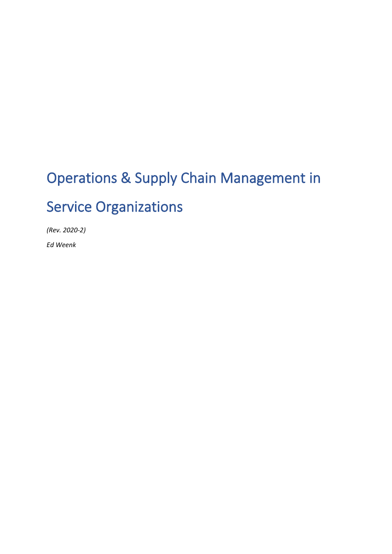# Operations & Supply Chain Management in Service Organizations

*(Rev. 2020-2) Ed Weenk*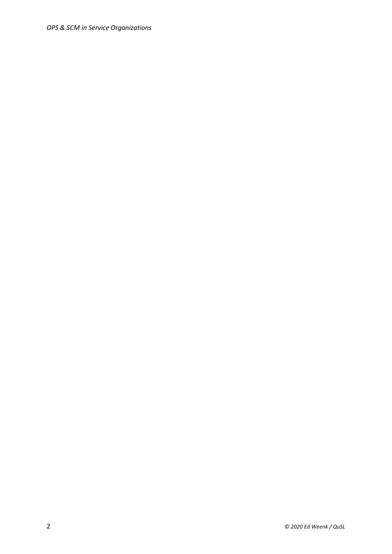*OPS & SCM in Service Organizations*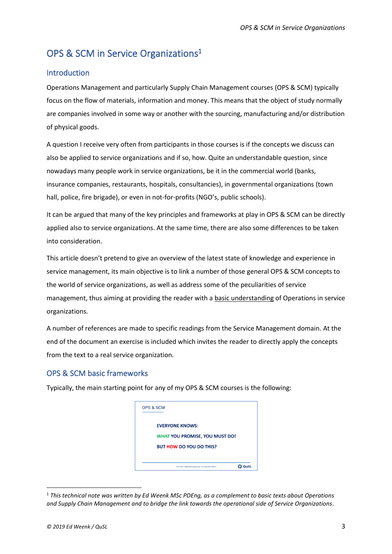# OPS & SCM in Service Organizations<sup>1</sup>

## Introduction

Operations Management and particularly Supply Chain Management courses (OPS & SCM) typically focus on the flow of materials, information and money. This means that the object of study normally are companies involved in some way or another with the sourcing, manufacturing and/or distribution of physical goods.

A question I receive very often from participants in those courses is if the concepts we discuss can also be applied to service organizations and if so, how. Quite an understandable question, since nowadays many people work in service organizations, be it in the commercial world (banks, insurance companies, restaurants, hospitals, consultancies), in governmental organizations (town hall, police, fire brigade), or even in not-for-profits (NGO's, public schools).

It can be argued that many of the key principles and frameworks at play in OPS & SCM can be directly applied also to service organizations. At the same time, there are also some differences to be taken into consideration.

This article doesn't pretend to give an overview of the latest state of knowledge and experience in service management, its main objective is to link a number of those general OPS & SCM concepts to the world of service organizations, as well as address some of the peculiarities of service management, thus aiming at providing the reader with a basic understanding of Operations in service organizations.

A number of references are made to specific readings from the Service Management domain. At the end of the document an exercise is included which invites the reader to directly apply the concepts from the text to a real service organization.

## OPS & SCM basic frameworks

Typically, the main starting point for any of my OPS & SCM courses is the following:

| <b>OPS &amp; SCM</b>                                                  |  |
|-----------------------------------------------------------------------|--|
| <b>EVERYONE KNOWS:</b>                                                |  |
| WHAT YOU PROMISE, YOU MUST DO!                                        |  |
| <b>BUT HOW DO YOU DO THIS?</b>                                        |  |
|                                                                       |  |
| - Mastering the Supply Chain - Ed Waynk Janes Outli, all<br>OPE & SOM |  |

<sup>1</sup> *This technical note was written by Ed Weenk MSc PDEng, as a complement to basic texts about Operations and Supply Chain Management and to bridge the link towards the operational side of Service Organizations.*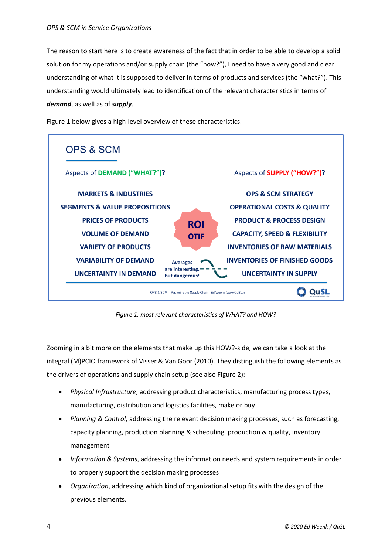The reason to start here is to create awareness of the fact that in order to be able to develop a solid solution for my operations and/or supply chain (the "how?"), I need to have a very good and clear understanding of what it is supposed to deliver in terms of products and services (the "what?"). This understanding would ultimately lead to identification of the relevant characteristics in terms of *demand*, as well as of *supply*.

Figure 1 below gives a high-level overview of these characteristics.



*Figure 1: most relevant characteristics of WHAT? and HOW?*

Zooming in a bit more on the elements that make up this HOW?-side, we can take a look at the integral (M)PCIO framework of Visser & Van Goor (2010). They distinguish the following elements as the drivers of operations and supply chain setup (see also Figure 2):

- *Physical Infrastructure*, addressing product characteristics, manufacturing process types, manufacturing, distribution and logistics facilities, make or buy
- *Planning & Control*, addressing the relevant decision making processes, such as forecasting, capacity planning, production planning & scheduling, production & quality, inventory management
- *Information & Systems*, addressing the information needs and system requirements in order to properly support the decision making processes
- *Organization*, addressing which kind of organizational setup fits with the design of the previous elements.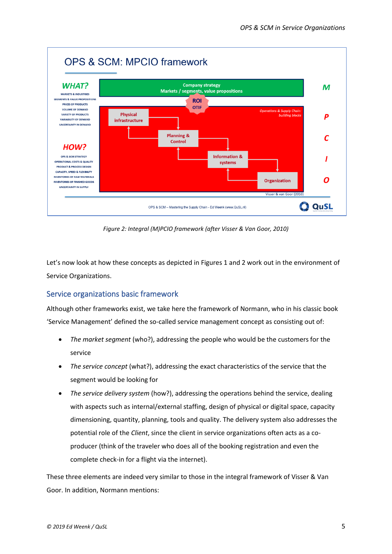

*Figure 2: Integral (M)PCIO framework (after Visser & Van Goor, 2010)*

Let's now look at how these concepts as depicted in Figures 1 and 2 work out in the environment of Service Organizations.

## Service organizations basic framework

Although other frameworks exist, we take here the framework of Normann, who in his classic book 'Service Management' defined the so-called service management concept as consisting out of:

- *The market segment* (who?), addressing the people who would be the customers for the service
- *The service concept* (what?), addressing the exact characteristics of the service that the segment would be looking for
- *The service delivery system* (how?), addressing the operations behind the service, dealing with aspects such as internal/external staffing, design of physical or digital space, capacity dimensioning, quantity, planning, tools and quality. The delivery system also addresses the potential role of the *Client*, since the client in service organizations often acts as a coproducer (think of the traveler who does all of the booking registration and even the complete check-in for a flight via the internet).

These three elements are indeed very similar to those in the integral framework of Visser & Van Goor. In addition, Normann mentions: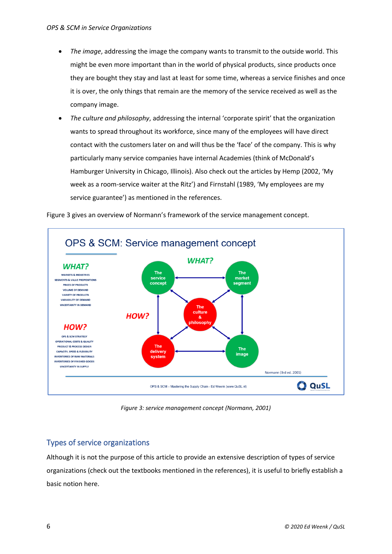- *The image*, addressing the image the company wants to transmit to the outside world. This might be even more important than in the world of physical products, since products once they are bought they stay and last at least for some time, whereas a service finishes and once it is over, the only things that remain are the memory of the service received as well as the company image.
- *The culture and philosophy*, addressing the internal 'corporate spirit' that the organization wants to spread throughout its workforce, since many of the employees will have direct contact with the customers later on and will thus be the 'face' of the company. This is why particularly many service companies have internal Academies (think of McDonald's Hamburger University in Chicago, Illinois). Also check out the articles by Hemp (2002, 'My week as a room-service waiter at the Ritz') and Firnstahl (1989, 'My employees are my service guarantee') as mentioned in the references.



Figure 3 gives an overview of Normann's framework of the service management concept.

*Figure 3: service management concept (Normann, 2001)*

## Types of service organizations

Although it is not the purpose of this article to provide an extensive description of types of service organizations (check out the textbooks mentioned in the references), it is useful to briefly establish a basic notion here.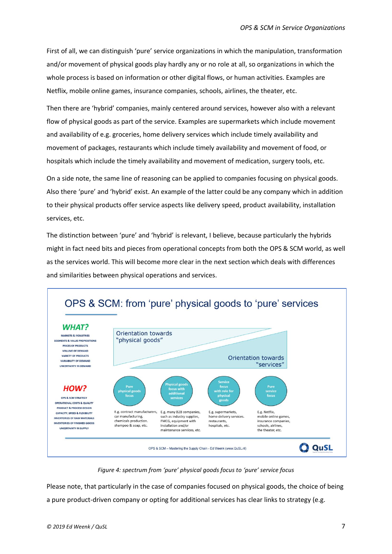First of all, we can distinguish 'pure' service organizations in which the manipulation, transformation and/or movement of physical goods play hardly any or no role at all, so organizations in which the whole process is based on information or other digital flows, or human activities. Examples are Netflix, mobile online games, insurance companies, schools, airlines, the theater, etc.

Then there are 'hybrid' companies, mainly centered around services, however also with a relevant flow of physical goods as part of the service. Examples are supermarkets which include movement and availability of e.g. groceries, home delivery services which include timely availability and movement of packages, restaurants which include timely availability and movement of food, or hospitals which include the timely availability and movement of medication, surgery tools, etc.

On a side note, the same line of reasoning can be applied to companies focusing on physical goods. Also there 'pure' and 'hybrid' exist. An example of the latter could be any company which in addition to their physical products offer service aspects like delivery speed, product availability, installation services, etc.

The distinction between 'pure' and 'hybrid' is relevant, I believe, because particularly the hybrids might in fact need bits and pieces from operational concepts from both the OPS & SCM world, as well as the services world. This will become more clear in the next section which deals with differences and similarities between physical operations and services.



*Figure 4: spectrum from 'pure' physical goods focus to 'pure' service focus*

Please note, that particularly in the case of companies focused on physical goods, the choice of being a pure product-driven company or opting for additional services has clear links to strategy (e.g.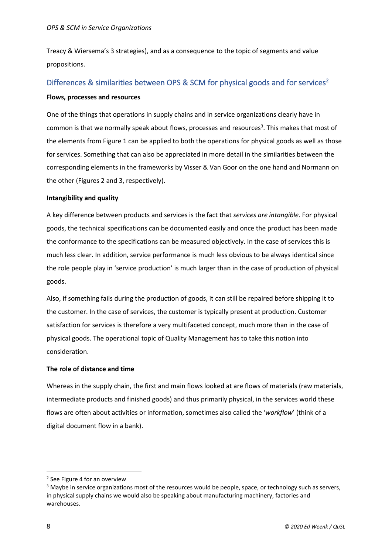Treacy & Wiersema's 3 strategies), and as a consequence to the topic of segments and value propositions.

# Differences & similarities between OPS & SCM for physical goods and for services<sup>2</sup> **Flows, processes and resources**

One of the things that operations in supply chains and in service organizations clearly have in common is that we normally speak about flows, processes and resources<sup>3</sup>. This makes that most of the elements from Figure 1 can be applied to both the operations for physical goods as well as those for services. Something that can also be appreciated in more detail in the similarities between the corresponding elements in the frameworks by Visser & Van Goor on the one hand and Normann on the other (Figures 2 and 3, respectively).

#### **Intangibility and quality**

A key difference between products and services is the fact that *services are intangible*. For physical goods, the technical specifications can be documented easily and once the product has been made the conformance to the specifications can be measured objectively. In the case of services this is much less clear. In addition, service performance is much less obvious to be always identical since the role people play in 'service production' is much larger than in the case of production of physical goods.

Also, if something fails during the production of goods, it can still be repaired before shipping it to the customer. In the case of services, the customer is typically present at production. Customer satisfaction for services is therefore a very multifaceted concept, much more than in the case of physical goods. The operational topic of Quality Management has to take this notion into consideration.

#### **The role of distance and time**

Whereas in the supply chain, the first and main flows looked at are flows of materials (raw materials, intermediate products and finished goods) and thus primarily physical, in the services world these flows are often about activities or information, sometimes also called the '*workflow*' (think of a digital document flow in a bank).

<sup>2</sup> See Figure 4 for an overview

<sup>&</sup>lt;sup>3</sup> Maybe in service organizations most of the resources would be people, space, or technology such as servers, in physical supply chains we would also be speaking about manufacturing machinery, factories and warehouses.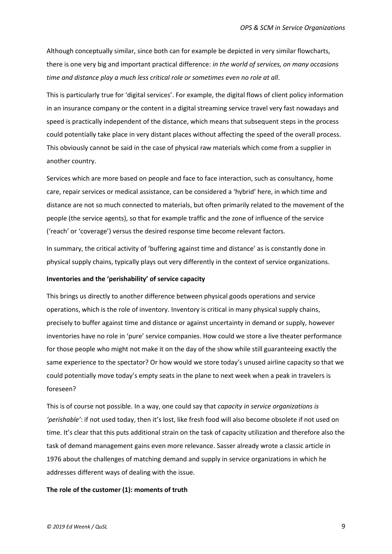Although conceptually similar, since both can for example be depicted in very similar flowcharts, there is one very big and important practical difference: *in the world of services, on many occasions time and distance play a much less critical role or sometimes even no role at all*.

This is particularly true for 'digital services'. For example, the digital flows of client policy information in an insurance company or the content in a digital streaming service travel very fast nowadays and speed is practically independent of the distance, which means that subsequent steps in the process could potentially take place in very distant places without affecting the speed of the overall process. This obviously cannot be said in the case of physical raw materials which come from a supplier in another country.

Services which are more based on people and face to face interaction, such as consultancy, home care, repair services or medical assistance, can be considered a 'hybrid' here, in which time and distance are not so much connected to materials, but often primarily related to the movement of the people (the service agents), so that for example traffic and the zone of influence of the service ('reach' or 'coverage') versus the desired response time become relevant factors.

In summary, the critical activity of 'buffering against time and distance' as is constantly done in physical supply chains, typically plays out very differently in the context of service organizations.

#### **Inventories and the 'perishability' of service capacity**

This brings us directly to another difference between physical goods operations and service operations, which is the role of inventory. Inventory is critical in many physical supply chains, precisely to buffer against time and distance or against uncertainty in demand or supply, however inventories have no role in 'pure' service companies. How could we store a live theater performance for those people who might not make it on the day of the show while still guaranteeing exactly the same experience to the spectator? Or how would we store today's unused airline capacity so that we could potentially move today's empty seats in the plane to next week when a peak in travelers is foreseen?

This is of course not possible. In a way, one could say that *capacity in service organizations is 'perishable'*: if not used today, then it's lost, like fresh food will also become obsolete if not used on time. It's clear that this puts additional strain on the task of capacity utilization and therefore also the task of demand management gains even more relevance. Sasser already wrote a classic article in 1976 about the challenges of matching demand and supply in service organizations in which he addresses different ways of dealing with the issue.

#### **The role of the customer (1): moments of truth**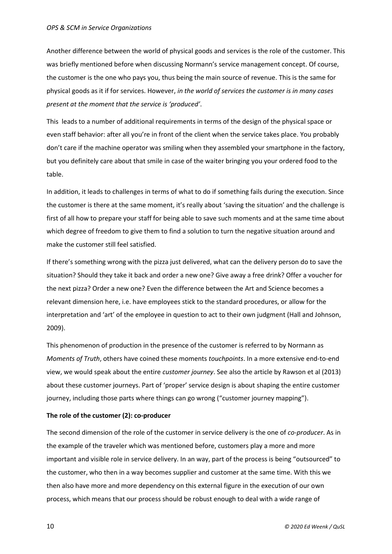#### *OPS & SCM in Service Organizations*

Another difference between the world of physical goods and services is the role of the customer. This was briefly mentioned before when discussing Normann's service management concept. Of course, the customer is the one who pays you, thus being the main source of revenue. This is the same for physical goods as it if for services. However, *in the world of services the customer is in many cases present at the moment that the service is 'produced'*.

This leads to a number of additional requirements in terms of the design of the physical space or even staff behavior: after all you're in front of the client when the service takes place. You probably don't care if the machine operator was smiling when they assembled your smartphone in the factory, but you definitely care about that smile in case of the waiter bringing you your ordered food to the table.

In addition, it leads to challenges in terms of what to do if something fails during the execution. Since the customer is there at the same moment, it's really about 'saving the situation' and the challenge is first of all how to prepare your staff for being able to save such moments and at the same time about which degree of freedom to give them to find a solution to turn the negative situation around and make the customer still feel satisfied.

If there's something wrong with the pizza just delivered, what can the delivery person do to save the situation? Should they take it back and order a new one? Give away a free drink? Offer a voucher for the next pizza? Order a new one? Even the difference between the Art and Science becomes a relevant dimension here, i.e. have employees stick to the standard procedures, or allow for the interpretation and 'art' of the employee in question to act to their own judgment (Hall and Johnson, 2009).

This phenomenon of production in the presence of the customer is referred to by Normann as *Moments of Truth*, others have coined these moments *touchpoints*. In a more extensive end-to-end view, we would speak about the entire *customer journey*. See also the article by Rawson et al (2013) about these customer journeys. Part of 'proper' service design is about shaping the entire customer journey, including those parts where things can go wrong ("customer journey mapping").

#### **The role of the customer (2): co-producer**

The second dimension of the role of the customer in service delivery is the one of *co-producer*. As in the example of the traveler which was mentioned before, customers play a more and more important and visible role in service delivery. In an way, part of the process is being "outsourced" to the customer, who then in a way becomes supplier and customer at the same time. With this we then also have more and more dependency on this external figure in the execution of our own process, which means that our process should be robust enough to deal with a wide range of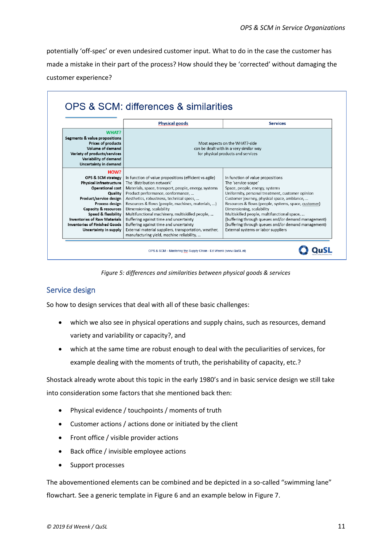potentially 'off-spec' or even undesired customer input. What to do in the case the customer has made a mistake in their part of the process? How should they be 'corrected' without damaging the customer experience?



*Figure 5: differences and similarities between physical goods & services*

## Service design

So how to design services that deal with all of these basic challenges:

- which we also see in physical operations and supply chains, such as resources, demand variety and variability or capacity?, and
- which at the same time are robust enough to deal with the peculiarities of services, for example dealing with the moments of truth, the perishability of capacity, etc.?

Shostack already wrote about this topic in the early 1980's and in basic service design we still take into consideration some factors that she mentioned back then:

- Physical evidence / touchpoints / moments of truth
- Customer actions / actions done or initiated by the client
- Front office / visible provider actions
- Back office / invisible employee actions
- Support processes

The abovementioned elements can be combined and be depicted in a so-called "swimming lane" flowchart. See a generic template in Figure 6 and an example below in Figure 7.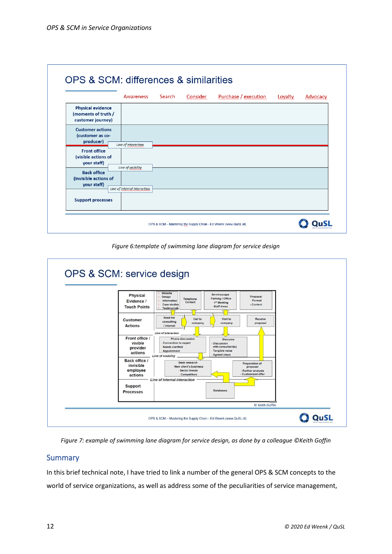

*Figure 6:template of swimming lane diagram for service design*



*Figure 7: example of swimming lane diagram for service design, as done by a colleague ©Keith Goffin*

## **Summary**

In this brief technical note, I have tried to link a number of the general OPS & SCM concepts to the world of service organizations, as well as address some of the peculiarities of service management,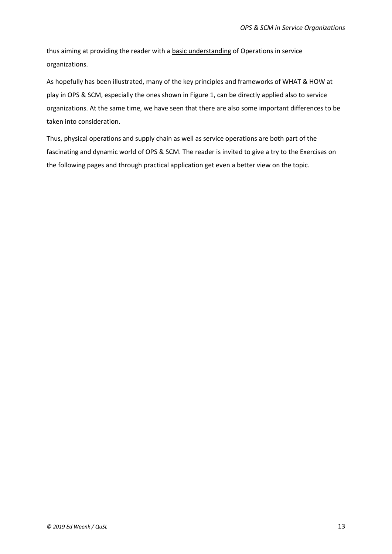thus aiming at providing the reader with a **basic understanding of Operations in service** organizations.

As hopefully has been illustrated, many of the key principles and frameworks of WHAT & HOW at play in OPS & SCM, especially the ones shown in Figure 1, can be directly applied also to service organizations. At the same time, we have seen that there are also some important differences to be taken into consideration.

Thus, physical operations and supply chain as well as service operations are both part of the fascinating and dynamic world of OPS & SCM. The reader is invited to give a try to the Exercises on the following pages and through practical application get even a better view on the topic.